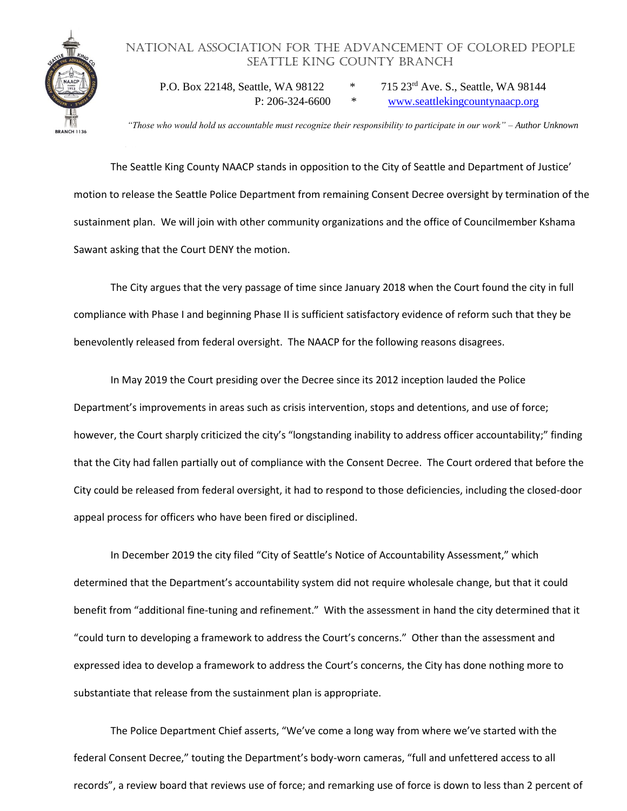## National Association for the Advancement of Colored People Seattle King County Branch



P.O. Box 22148, Seattle, WA 98122 \* 715 23rd Ave. S., Seattle, WA 98144 P: 206-324-6600 \* [www.seattlekingcountynaacp.org](http://www.seattlekingcountynaacp.org/)

*"Those who would hold us accountable must recognize their responsibility to participate in our work" – Author Unknown*

The Seattle King County NAACP stands in opposition to the City of Seattle and Department of Justice' motion to release the Seattle Police Department from remaining Consent Decree oversight by termination of the sustainment plan. We will join with other community organizations and the office of Councilmember Kshama Sawant asking that the Court DENY the motion.

The City argues that the very passage of time since January 2018 when the Court found the city in full compliance with Phase I and beginning Phase II is sufficient satisfactory evidence of reform such that they be benevolently released from federal oversight. The NAACP for the following reasons disagrees.

In May 2019 the Court presiding over the Decree since its 2012 inception lauded the Police Department's improvements in areas such as crisis intervention, stops and detentions, and use of force; however, the Court sharply criticized the city's "longstanding inability to address officer accountability;" finding that the City had fallen partially out of compliance with the Consent Decree. The Court ordered that before the City could be released from federal oversight, it had to respond to those deficiencies, including the closed-door appeal process for officers who have been fired or disciplined.

In December 2019 the city filed "City of Seattle's Notice of Accountability Assessment," which determined that the Department's accountability system did not require wholesale change, but that it could benefit from "additional fine-tuning and refinement." With the assessment in hand the city determined that it "could turn to developing a framework to address the Court's concerns." Other than the assessment and expressed idea to develop a framework to address the Court's concerns, the City has done nothing more to substantiate that release from the sustainment plan is appropriate.

The Police Department Chief asserts, "We've come a long way from where we've started with the federal Consent Decree," touting the Department's body-worn cameras, "full and unfettered access to all records", a review board that reviews use of force; and remarking use of force is down to less than 2 percent of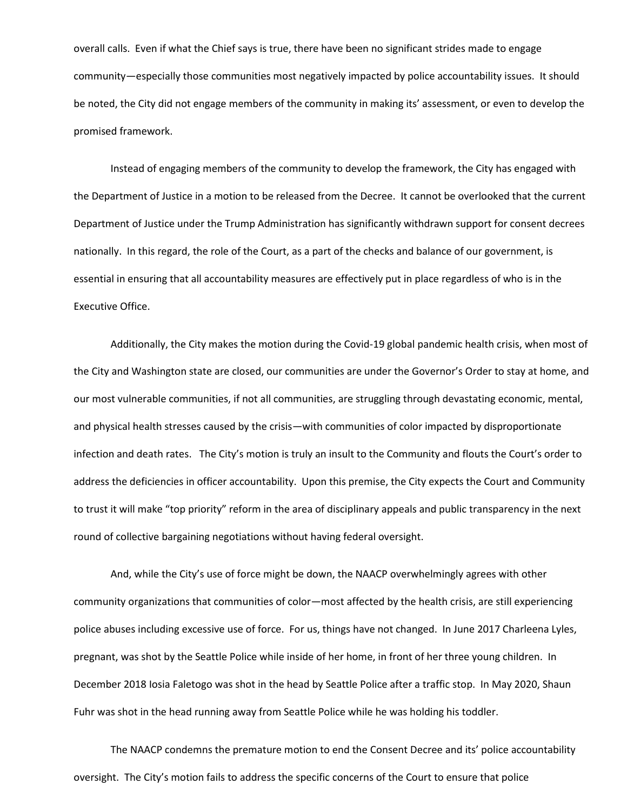overall calls. Even if what the Chief says is true, there have been no significant strides made to engage community—especially those communities most negatively impacted by police accountability issues. It should be noted, the City did not engage members of the community in making its' assessment, or even to develop the promised framework.

Instead of engaging members of the community to develop the framework, the City has engaged with the Department of Justice in a motion to be released from the Decree. It cannot be overlooked that the current Department of Justice under the Trump Administration has significantly withdrawn support for consent decrees nationally. In this regard, the role of the Court, as a part of the checks and balance of our government, is essential in ensuring that all accountability measures are effectively put in place regardless of who is in the Executive Office.

Additionally, the City makes the motion during the Covid-19 global pandemic health crisis, when most of the City and Washington state are closed, our communities are under the Governor's Order to stay at home, and our most vulnerable communities, if not all communities, are struggling through devastating economic, mental, and physical health stresses caused by the crisis—with communities of color impacted by disproportionate infection and death rates. The City's motion is truly an insult to the Community and flouts the Court's order to address the deficiencies in officer accountability. Upon this premise, the City expects the Court and Community to trust it will make "top priority" reform in the area of disciplinary appeals and public transparency in the next round of collective bargaining negotiations without having federal oversight.

And, while the City's use of force might be down, the NAACP overwhelmingly agrees with other community organizations that communities of color—most affected by the health crisis, are still experiencing police abuses including excessive use of force. For us, things have not changed. In June 2017 Charleena Lyles, pregnant, was shot by the Seattle Police while inside of her home, in front of her three young children. In December 2018 Iosia Faletogo was shot in the head by Seattle Police after a traffic stop. In May 2020, Shaun Fuhr was shot in the head running away from Seattle Police while he was holding his toddler.

The NAACP condemns the premature motion to end the Consent Decree and its' police accountability oversight. The City's motion fails to address the specific concerns of the Court to ensure that police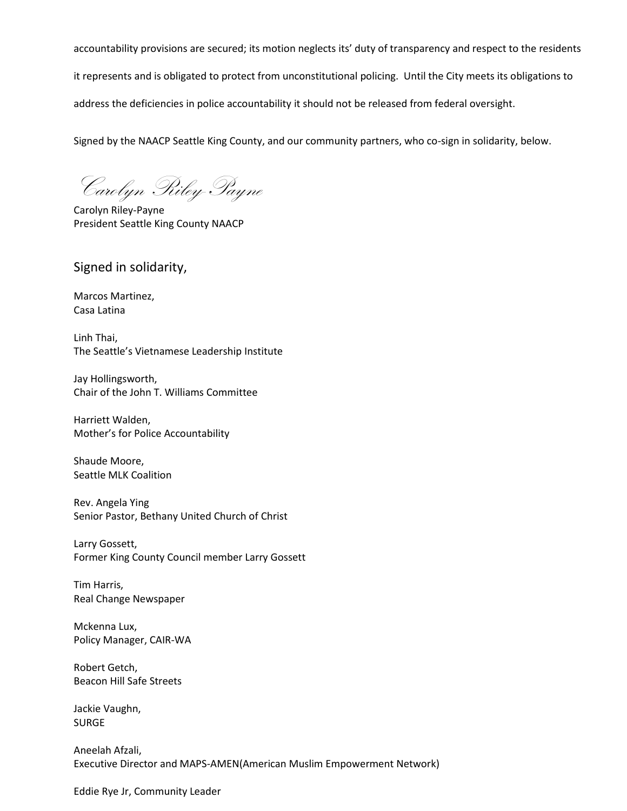accountability provisions are secured; its motion neglects its' duty of transparency and respect to the residents it represents and is obligated to protect from unconstitutional policing. Until the City meets its obligations to address the deficiencies in police accountability it should not be released from federal oversight.

Signed by the NAACP Seattle King County, and our community partners, who co-sign in solidarity, below.

Carolyn Riley-Payne

Carolyn Riley-Payne President Seattle King County NAACP

Signed in solidarity,

Marcos Martinez, Casa Latina

Linh Thai, The Seattle's Vietnamese Leadership Institute

Jay Hollingsworth, Chair of the John T. Williams Committee

Harriett Walden, Mother's for Police Accountability

Shaude Moore, Seattle MLK Coalition

Rev. Angela Ying Senior Pastor, Bethany United Church of Christ

Larry Gossett, Former King County Council member Larry Gossett

Tim Harris, Real Change Newspaper

Mckenna Lux, Policy Manager, CAIR-WA

Robert Getch, Beacon Hill Safe Streets

Jackie Vaughn, SURGE

Aneelah Afzali, Executive Director and MAPS-AMEN(American Muslim Empowerment Network)

Eddie Rye Jr, Community Leader